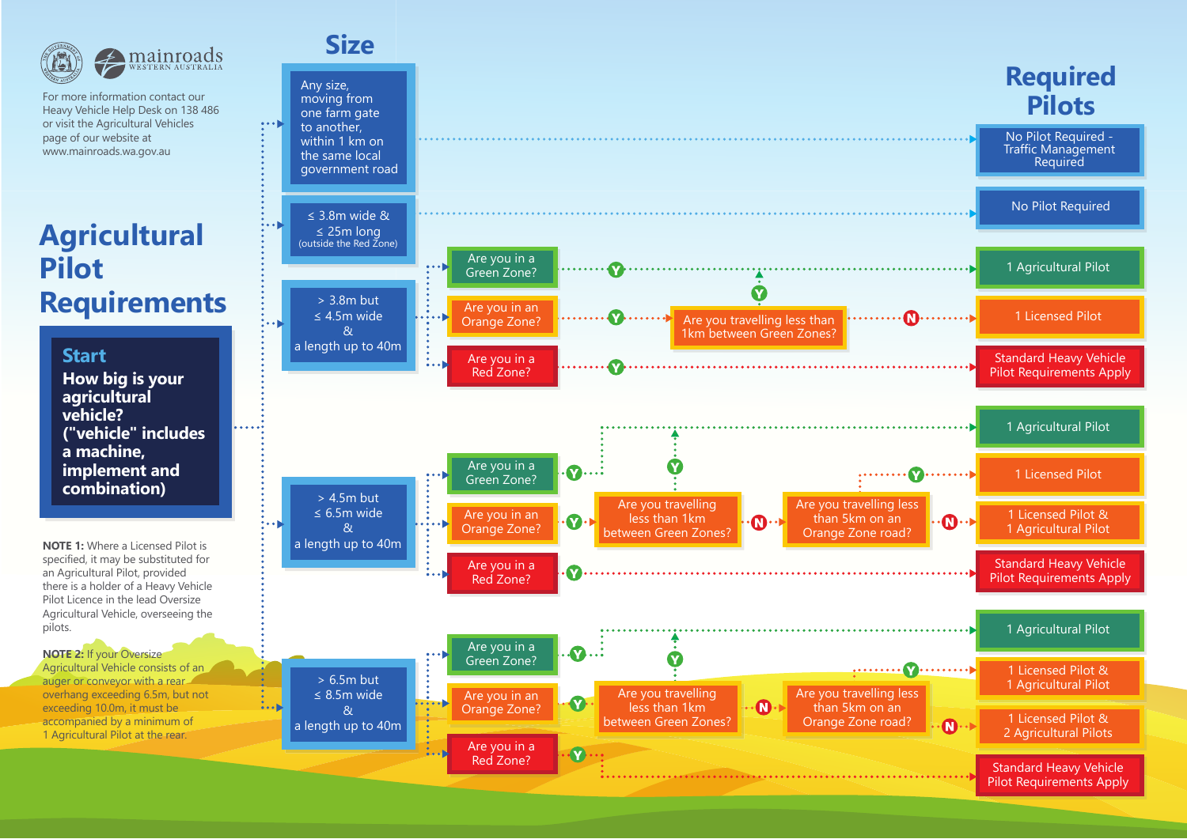

For more information contact our Heavy Vehicle Help Desk on 138 486 or visit the Agricultural Vehicles page of our website at www.mainroads.wa.gov.au

# **Agricultural Pilot Requirements**

### **Start**

**How big is your agricultural vehicle?("vehicle" includes a machine, implement and combination)**

**NOTE 1:** Where a Licensed Pilot is specified, it may be substituted for an Agricultural Pilot, provided there is a holder of a Heavy Vehicle Pilot Licence in the lead Oversize Agricultural Vehicle, overseeing the pilots.

#### **NOTE 2:** If your Oversize

Agricultural Vehicle consists of an auger or conveyor with a rearoverhang exceeding 6.5m, but not exceeding 10.0m, it must be accompanied by a minimum of 1 Agricultural Pilot at the rear.